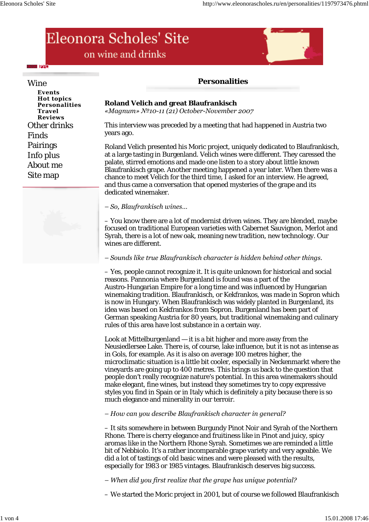# Eleonora Scholes' Site on wine and drinks



+ Pyc

**Events Hot topics Personalities Travel Reviews** Other drinks Finds Pairings Info plus About me Site map



# **Roland Velich and great Blaufrankisch**

*«Magnum» №10-11 (21) October-November 2007*

This interview was preceded by a meeting that had happened in Austria two years ago.

Roland Velich presented his Moric project, uniquely dedicated to Blaufrankisch, at a large tasting in Burgenland. Velich wines were different. They caressed the palate, stirred emotions and made one listen to a story about little known Blaufrankisch grape. Another meeting happened a year later. When there was a chance to meet Velich for the third time, I asked for an interview. He agreed, and thus came a conversation that opened mysteries of the grape and its dedicated winemaker.

*– So, Blaufrankisch wines…*

– You know there are a lot of modernist driven wines. They are blended, maybe focused on traditional European varieties with Cabernet Sauvignon, Merlot and Syrah, there is a lot of new oak, meaning new tradition, new technology. Our wines are different.

*– Sounds like true Blaufrankisch character is hidden behind other things.*

– Yes, people cannot recognize it. It is quite unknown for historical and social reasons. Pannonia where Burgenland is found was a part of the Austro-Hungarian Empire for a long time and was influenced by Hungarian winemaking tradition. Blaufrankisch, or Kekfrankos, was made in Sopron which is now in Hungary. When Blaufrankisch was widely planted in Burgenland, its idea was based on Kekfrankos from Sopron. Burgenland has been part of German speaking Austria for 80 years, but traditional winemaking and culinary rules of this area have lost substance in a certain way.

Look at Mittelburgenland — it is a bit higher and more away from the Neusiedlersee Lake. There is, of course, lake influence, but it is not as intense as in Gols, for example. As it is also on average 100 metres higher, the microclimatic situation is a little bit cooler, especially in Neckenmarkt where the vineyards are going up to 400 metres. This brings us back to the question that people don't really recognize nature's potential. In this area winemakers should make elegant, fine wines, but instead they sometimes try to copy expressive styles you find in Spain or in Italy which is definitely a pity because there is so much elegance and minerality in our terroir.

*– How can you describe Blaufrankisch character in general?*

– It sits somewhere in between Burgundy Pinot Noir and Syrah of the Northern Rhone. There is cherry elegance and fruitiness like in Pinot and juicy, spicy aromas like in the Northern Rhone Syrah. Sometimes we are reminded a little bit of Nebbiolo. It's a rather incomparable grape variety and very ageable. We did a lot of tastings of old basic wines and were pleased with the results, especially for 1983 or 1985 vintages. Blaufrankisch deserves big success.

*– When did you first realize that the grape has unique potential?*

– We started the Moric project in 2001, but of course we followed Blaufrankisch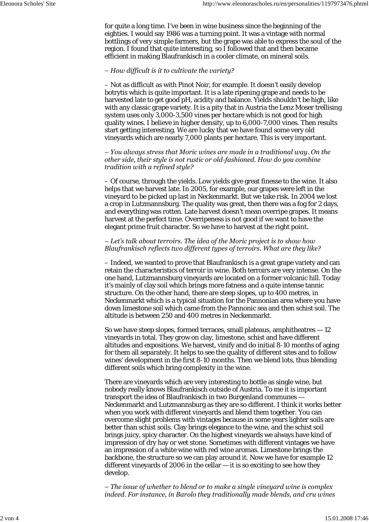for quite a long time. I've been in wine business since the beginning of the eighties. I would say 1986 was a turning point. It was a vintage with normal bottlings of very simple farmers, but the grape was able to express the soul of the region. I found that quite interesting, so I followed that and then became efficient in making Blaufrankisch in a cooler climate, on mineral soils.

#### *– How difficult is it to cultivate the variety?*

– Not as difficult as with Pinot Noir, for example. It doesn't easily develop botrytis which is quite important. It is a late ripening grape and needs to be harvested late to get good pH, acidity and balance. Yields shouldn't be high, like with any classic grape variety. It is a pity that in Austria the Lenz Moser trellising system uses only 3,000-3,500 vines per hectare which is not good for high quality wines. I believe in higher density, up to 6,000-7,000 vines. Then results start getting interesting. We are lucky that we have found some very old vineyards which are nearly 7,000 plants per hectare. This is very important.

*– You always stress that Moric wines are made in a traditional way. On the other side, their style is not rustic or old-fashioned. How do you combine tradition with a refined style?*

– Of course, through the yields. Low yields give great finesse to the wine. It also helps that we harvest late. In 2005, for example, our grapes were left in the vineyard to be picked up last in Neckenmarkt. But we take risk. In 2004 we lost a crop in Lutzmannsburg. The quality was great, then there was a fog for 2 days, and everything was rotten. Late harvest doesn't mean overripe grapes. It means harvest at the perfect time. Overripeness is not good if we want to have the elegant prime fruit character. So we have to harvest at the right point.

# *– Let's talk about terroirs. The idea of the Moric project is to show how Blaufrankisch reflects two different types of terroirs. What are they like?*

– Indeed, we wanted to prove that Blaufrankisch is a great grape variety and can retain the characteristics of terroir in wine. Both terroirs are very intense. On the one hand, Lutzmannsburg vineyards are located on a former volcanic hill. Today it's mainly of clay soil which brings more fatness and a quite intense tannic structure. On the other hand, there are steep slopes, up to 400 metres, in Neckenmarkt which is a typical situation for the Pannonian area where you have down limestone soil which came from the Pannonic sea and then schist soil. The altitude is between 250 and 400 metres in Neckenmarkt.

So we have steep slopes, formed terraces, small plateaus, amphitheatres — 12 vineyards in total. They grow on clay, limestone, schist and have different altitudes and expositions. We harvest, vinify and do initial 8-10 months of aging for them all separately. It helps to see the quality of different sites and to follow wines' development in the first 8-10 months. Then we blend lots, thus blending different soils which bring complexity in the wine.

There are vineyards which are very interesting to bottle as single wine, but nobody really knows Blaufrankisch outside of Austria. To me it is important transport the idea of Blaufrankisch in two Burgenland communes — Neckenmarkt and Lutzmannsburg as they are so different. I think it works better when you work with different vineyards and blend them together. You can overcome slight problems with vintages because in some years lighter soils are better than schist soils. Clay brings elegance to the wine, and the schist soil brings juicy, spicy character. On the highest vineyards we always have kind of impression of dry hay or wet stone. Sometimes with different vintages we have an impression of a white wine with red wine aromas. Limestone brings the backbone, the structure so we can play around it. Now we have for example 12 different vineyards of 2006 in the cellar — it is so exciting to see how they develop.

*– The issue of whether to blend or to make a single vineyard wine is complex indeed. For instance, in Barolo they traditionally made blends, and cru wines*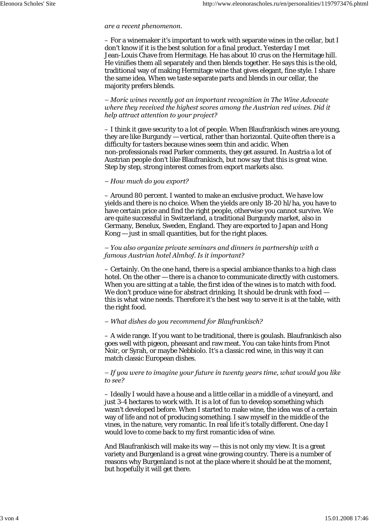#### *are a recent phenomenon.*

– For a winemaker it's important to work with separate wines in the cellar, but I don't know if it is the best solution for a final product. Yesterday I met Jean-Louis Chave from Hermitage. He has about 10 crus on the Hermitage hill. He vinifies them all separately and then blends together. He says this is the old, traditional way of making Hermitage wine that gives elegant, fine style. I share the same idea. When we taste separate parts and blends in our cellar, the majority prefers blends.

*– Moric wines recently got an important recognition in The Wine Advocate where they received the highest scores among the Austrian red wines. Did it help attract attention to your project?*

– I think it gave security to a lot of people. When Blaufrankisch wines are young, they are like Burgundy — vertical, rather than horizontal. Quite often there is a difficulty for tasters because wines seem thin and acidic. When non-professionals read Parker comments, they get assured. In Austria a lot of Austrian people don't like Blaufrankisch, but now say that this is great wine. Step by step, strong interest comes from export markets also.

#### *– How much do you export?*

– Around 80 percent. I wanted to make an exclusive product. We have low yields and there is no choice. When the yields are only 18-20 hl/ha, you have to have certain price and find the right people, otherwise you cannot survive. We are quite successful in Switzerland, a traditional Burgundy market, also in Germany, Benelux, Sweden, England. They are exported to Japan and Hong Kong — just in small quantities, but for the right places.

## *– You also organize private seminars and dinners in partnership with a famous Austrian hotel Almhof. Is it important?*

– Certainly. On the one hand, there is a special ambiance thanks to a high class hotel. On the other — there is a chance to communicate directly with customers. When you are sitting at a table, the first idea of the wines is to match with food. We don't produce wine for abstract drinking. It should be drunk with food – this is what wine needs. Therefore it's the best way to serve it is at the table, with the right food.

## *– What dishes do you recommend for Blaufrankisch?*

– A wide range. If you want to be traditional, there is goulash. Blaufrankisch also goes well with pigeon, pheasant and raw meat. You can take hints from Pinot Noir, or Syrah, or maybe Nebbiolo. It's a classic red wine, in this way it can match classic European dishes.

#### *– If you were to imagine your future in twenty years time, what would you like to see?*

– Ideally I would have a house and a little cellar in a middle of a vineyard, and just 3-4 hectares to work with. It is a lot of fun to develop something which wasn't developed before. When I started to make wine, the idea was of a certain way of life and not of producing something. I saw myself in the middle of the vines, in the nature, very romantic. In real life it's totally different. One day I would love to come back to my first romantic idea of wine.

And Blaufrankisch will make its way — this is not only my view. It is a great variety and Burgenland is a great wine growing country. There is a number of reasons why Burgenland is not at the place where it should be at the moment, but hopefully it will get there.